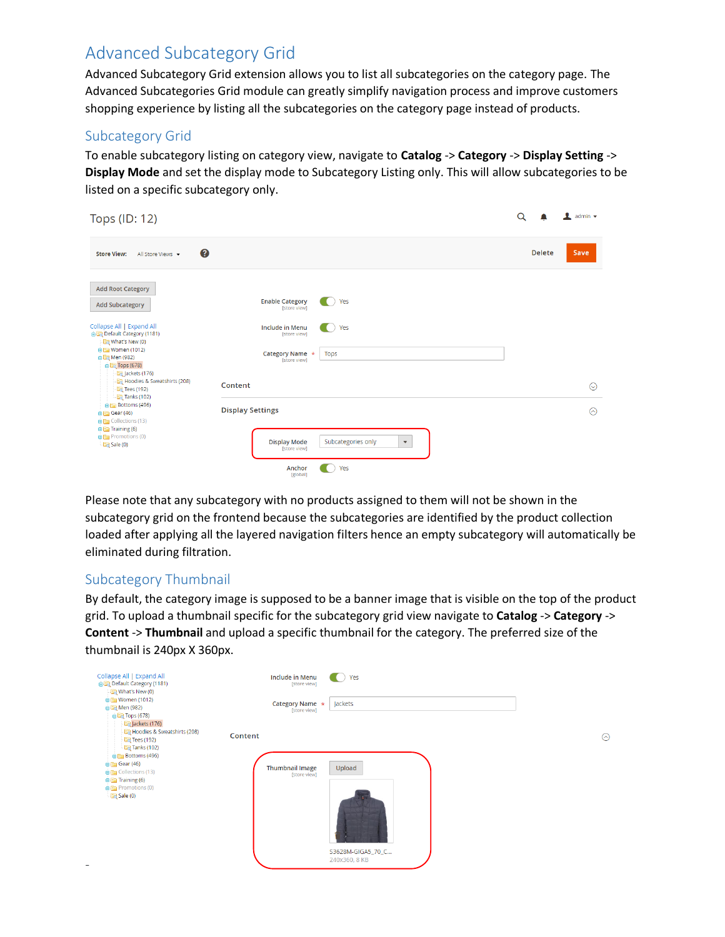# Advanced Subcategory Grid

Advanced Subcategory Grid extension allows you to list all subcategories on the category page. The Advanced Subcategories Grid module can greatly simplify navigation process and improve customers shopping experience by listing all the subcategories on the category page instead of products.

### Subcategory Grid

To enable subcategory listing on category view, navigate to **Catalog** -> **Category** -> **Display Setting** -> **Display Mode** and set the display mode to Subcategory Listing only. This will allow subcategories to be listed on a specific subcategory only.

| Tops (ID: 12)                                                                                                                                                  |                                                                                                                   | Q             | $\blacksquare$ admin $\blacktriangledown$ |
|----------------------------------------------------------------------------------------------------------------------------------------------------------------|-------------------------------------------------------------------------------------------------------------------|---------------|-------------------------------------------|
| 0<br><b>Store View:</b><br>All Store Views v                                                                                                                   |                                                                                                                   | <b>Delete</b> | Save                                      |
| <b>Add Root Category</b><br><b>Add Subcategory</b>                                                                                                             | Yes<br><b>Enable Category</b><br>[store view]                                                                     |               |                                           |
| Collapse All   Expand All<br>Default Category (1181)<br>What's New (0)<br><b>BE Women (1012)</b><br><b>B</b> Men (982)<br>$\oplus$ Tops (678)<br>Jackets (176) | Yes<br><b>Include in Menu</b><br>[store view]<br>Category Name *<br>Tops<br>[store view]                          |               |                                           |
| Hoodies & Sweatshirts (208)<br><b>Tees</b> (192)<br>Tanks (102)                                                                                                | Content                                                                                                           |               | $\odot$                                   |
| <b>BIFT</b> Bottoms (496)<br>$\bigoplus$ Gear (46)<br><b>OBS</b> Collections (13)<br>$\bigoplus$ Training (6)<br><b>BF</b> Promotions (0)<br>$\Box$ Sale (0)   | <b>Display Settings</b><br>Subcategories only<br><b>Display Mode</b><br>$\boldsymbol{\mathrm{v}}$<br>[store view] |               | ଚ                                         |
|                                                                                                                                                                | Yes<br>Anchor<br>[global]                                                                                         |               |                                           |

Please note that any subcategory with no products assigned to them will not be shown in the subcategory grid on the frontend because the subcategories are identified by the product collection loaded after applying all the layered navigation filters hence an empty subcategory will automatically be eliminated during filtration.

## Subcategory Thumbnail

By default, the category image is supposed to be a banner image that is visible on the top of the product grid. To upload a thumbnail specific for the subcategory grid view navigate to **Catalog** -> **Category** -> **Content** -> **Thumbnail** and upload a specific thumbnail for the category. The preferred size of the thumbnail is 240px X 360px.

 $\odot$ 

| Collapse All   Expand All<br>Default Category (1181)<br>What's New (0)                                                  |         | <b>Include in Menu</b><br>[store view] | Yes               |
|-------------------------------------------------------------------------------------------------------------------------|---------|----------------------------------------|-------------------|
| <b>B</b> Women (1012)<br>自图 Men (982)<br>自国 Tops (678)<br>Jackets (176)                                                 |         | Category Name *<br>[store view]        | Jackets           |
| Hoodies & Sweatshirts (208)<br><b>En</b> Tees (192)<br><b>Exp</b> Tanks (102)<br>Bottoms (496)                          | Content |                                        |                   |
| <b>B</b> Gear (46)<br><b>B</b> <sub>c</sub> Collections (13)<br>$\oplus$ $\Box$ Training (6)<br><b>B</b> Promotions (0) |         | <b>Thumbnail Image</b><br>[store view] | Upload            |
| Sale(0)                                                                                                                 |         |                                        |                   |
|                                                                                                                         |         |                                        | S3628M-GIGA5_70_C |
|                                                                                                                         |         |                                        | 240x360, 8 KB     |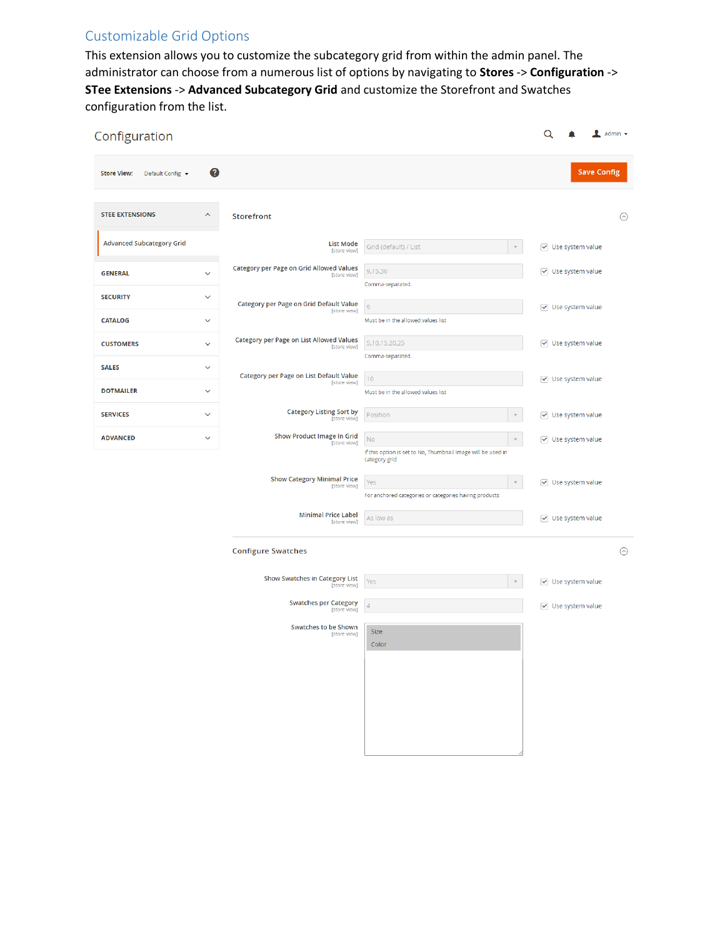# Customizable Grid Options

This extension allows you to customize the subcategory grid from within the admin panel. The administrator can choose from a numerous list of options by navigating to **Stores** -> **Configuration** -> **STee Extensions** -> **Advanced Subcategory Grid** and customize the Storefront and Swatches configuration from the list.

| Configuration                          |                              |                                                                 |                                                                               | $\mathsf Q$ |                                                                      | $\frac{1}{2}$ admin $\sqrt{ }$ |
|----------------------------------------|------------------------------|-----------------------------------------------------------------|-------------------------------------------------------------------------------|-------------|----------------------------------------------------------------------|--------------------------------|
| Default Config ▼<br><b>Store View:</b> | 0                            |                                                                 |                                                                               |             | <b>Save Config</b>                                                   |                                |
| <b>STEE EXTENSIONS</b>                 | $\hat{\phantom{a}}$          | <b>Storefront</b>                                               |                                                                               |             |                                                                      | $\odot$                        |
| <b>Advanced Subcategory Grid</b>       |                              | <b>List Mode</b><br>[store view]                                | Grid (default) / List                                                         |             | $\vee$ Use system value                                              |                                |
| <b>GENERAL</b>                         | $\checkmark$                 | <b>Category per Page on Grid Allowed Values</b><br>[store view] | 9,15,30                                                                       |             | $\triangledown$ Use system value                                     |                                |
| <b>SECURITY</b>                        | $\checkmark$                 | Category per Page on Grid Default Value                         | Comma-separated.<br>$\overline{9}$                                            |             | $\vee$ Use system value                                              |                                |
| <b>CATALOG</b>                         | $\checkmark$                 | [store view]                                                    | Must be in the allowed values list                                            |             |                                                                      |                                |
| <b>CUSTOMERS</b>                       | $\checkmark$                 | <b>Category per Page on List Allowed Values</b><br>[store view] | 5,10,15,20,25<br>Comma-separated.                                             |             | $\vee$ Use system value                                              |                                |
| <b>SALES</b>                           | $\checkmark$                 | Category per Page on List Default Value<br>[store view]         | 10                                                                            |             | $\vee$ Use system value                                              |                                |
| <b>DOTMAILER</b>                       | $\checkmark$                 | <b>Category Listing Sort by</b>                                 | Must be in the allowed values list                                            |             |                                                                      |                                |
| <b>SERVICES</b><br><b>ADVANCED</b>     | $\checkmark$<br>$\checkmark$ | [store view]<br><b>Show Product Image In Grid</b>               | Position<br>$\mathbf{v}$<br>$\rm No$<br>$\overline{\mathbf{v}}$               |             | $\triangledown$ Use system value<br>$\triangledown$ Use system value |                                |
|                                        |                              | [store view]                                                    | If this option is set to No, Thumbnail Image will be used in<br>category grid |             |                                                                      |                                |
|                                        |                              | <b>Show Category Minimal Price</b><br>[store view]              | Yes<br>$\mathbf{v}$                                                           |             | $\triangledown$ Use system value                                     |                                |
|                                        |                              | <b>Minimal Price Label</b>                                      | For anchored categories or categories having products<br>As low as            |             | $\triangledown$ Use system value                                     |                                |
|                                        |                              | [store view]                                                    |                                                                               |             |                                                                      |                                |
|                                        |                              | <b>Configure Swatches</b>                                       |                                                                               |             |                                                                      | $\odot$                        |
|                                        |                              | <b>Show Swatches in Category List</b><br>[store view]           | Yes                                                                           |             | $\vee$ Use system value                                              |                                |
|                                        |                              | <b>Swatches per Category</b><br>[store view]                    | $\overline{4}$                                                                |             | $\vee$ Use system value                                              |                                |
|                                        |                              | <b>Swatches to be Shown</b><br>[store view]                     | Size<br>Color                                                                 |             |                                                                      |                                |
|                                        |                              |                                                                 |                                                                               |             |                                                                      |                                |
|                                        |                              |                                                                 |                                                                               |             |                                                                      |                                |
|                                        |                              |                                                                 |                                                                               |             |                                                                      |                                |
|                                        |                              |                                                                 |                                                                               |             |                                                                      |                                |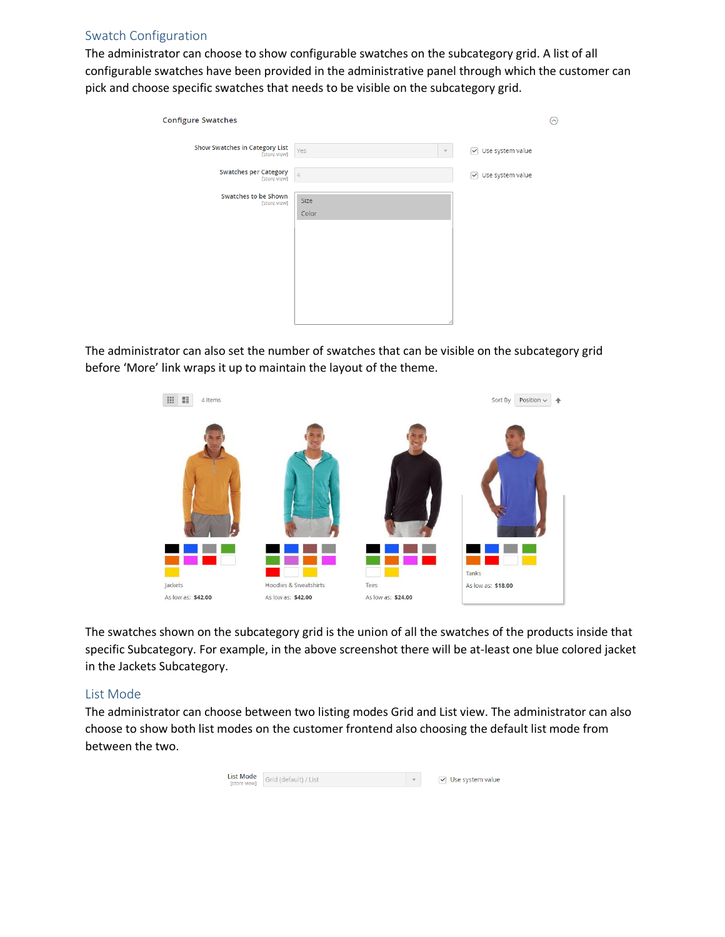#### Swatch Configuration

The administrator can choose to show configurable swatches on the subcategory grid. A list of all configurable swatches have been provided in the administrative panel through which the customer can pick and choose specific swatches that needs to be visible on the subcategory grid.

| <b>Configure Swatches</b>                      |                                |                                  | ⊚ |
|------------------------------------------------|--------------------------------|----------------------------------|---|
| Show Swatches in Category List<br>[store view] | Yes<br>$\overline{\mathbf{v}}$ | $\triangledown$ Use system value |   |
| <b>Swatches per Category</b><br>[store view]   | $\sqrt{4}$                     | $\triangledown$ Use system value |   |
| <b>Swatches to be Shown</b><br>[store view]    | Size<br>Color                  |                                  |   |
|                                                |                                |                                  |   |

The administrator can also set the number of swatches that can be visible on the subcategory grid before 'More' link wraps it up to maintain the layout of the theme.



The swatches shown on the subcategory grid is the union of all the swatches of the products inside that specific Subcategory. For example, in the above screenshot there will be at-least one blue colored jacket in the Jackets Subcategory.

#### List Mode

The administrator can choose between two listing modes Grid and List view. The administrator can also choose to show both list modes on the customer frontend also choosing the default list mode from between the two.

| <b>List Mode</b> Grid (default) / List | $\vee$ Use system value |
|----------------------------------------|-------------------------|
|                                        |                         |